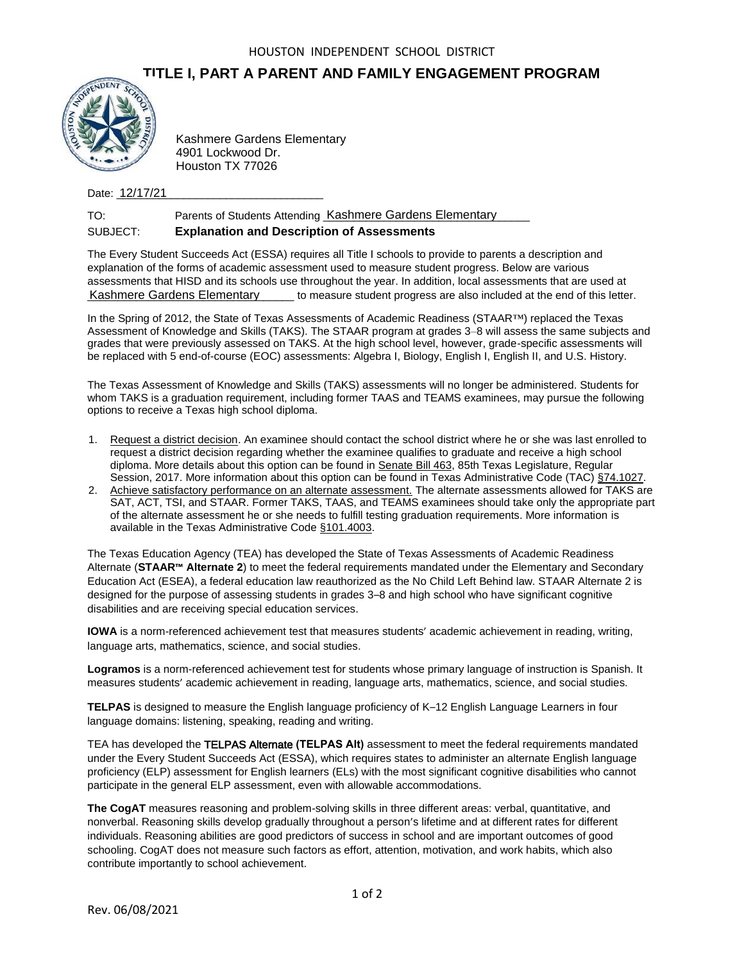## **TITLE I, PART A PARENT AND FAMILY ENGAGEMENT PROGRAM**



4901 Lockwood Dr. Houston TX 77026

Date: <u>12/17/21</u>

TO: Parents of Students Attending Kashmere Gardens Elementary SUBJECT: **Explanation and Description of Assessments**

The Every Student Succeeds Act (ESSA) requires all Title I schools to provide to parents a description and explanation of the forms of academic assessment used to measure student progress. Below are various assessments that HISD and its schools use throughout the year. In addition, local assessments that are used at Kashmere Gardens Elementary equal to measure student progress are also included at the end of this letter.

In the Spring of 2012, the State of Texas Assessments of Academic Readiness (STAAR™) replaced the Texas Assessment of Knowledge and Skills (TAKS). The STAAR program at grades 3–8 will assess the same subjects and grades that were previously assessed on TAKS. At the high school level, however, grade-specific assessments will be replaced with 5 end-of-course (EOC) assessments: Algebra I, Biology, English I, English II, and U.S. History.

The Texas Assessment of Knowledge and Skills (TAKS) assessments will no longer be administered. Students for whom TAKS is a graduation requirement, including former TAAS and TEAMS examinees, may pursue the following options to receive a Texas high school diploma.

- 1. Request a district decision. An examinee should contact the school district where he or she was last enrolled to request a district decision regarding whether the examinee qualifies to graduate and receive a high school diploma. More details about this option can be found in Senate Bill 463, 85th Texas Legislature, Regular Session, 2017. More information about this option can be found in Texas Administrative Code (TAC) §74.1027.
- 2. Achieve satisfactory performance on an alternate assessment. The alternate assessments allowed for TAKS are SAT, ACT, TSI, and STAAR. Former TAKS, TAAS, and TEAMS examinees should take only the appropriate part of the alternate assessment he or she needs to fulfill testing graduation requirements. More information is available in the Texas Administrative Code §101.4003.

The Texas Education Agency (TEA) has developed the State of Texas Assessments of Academic Readiness Alternate (**STAAR™ Alternate 2**) to meet the federal requirements mandated under the Elementary and Secondary Education Act (ESEA), a federal education law reauthorized as the No Child Left Behind law. STAAR Alternate 2 is designed for the purpose of assessing students in grades 3–8 and high school who have significant cognitive disabilities and are receiving special education services. EXAMP Machinere Gradents Elementary<br>
4901 Lockwood Dr.<br>
Houston TX 77026<br>
Date: 12/17/21<br>
TO: Parenst of Students Attending Kas<br>
SUBJECT: Explanation and Description Comparison<br>
The Every Student Succeeds Act (ESSA) requir

**IOWA** is a norm-referenced achievement test that measures students' academic achievement in reading, writing, language arts, mathematics, science, and social studies.

**Logramos** is a norm-referenced achievement test for students whose primary language of instruction is Spanish. It measures students' academic achievement in reading, language arts, mathematics, science, and social studies.

**TELPAS** is designed to measure the English language proficiency of K–12 English Language Learners in four language domains: listening, speaking, reading and writing.

TEA has developed the TELPAS Alternate **(TELPAS Alt)** assessment to meet the federal requirements mandated under the Every Student Succeeds Act (ESSA), which requires states to administer an alternate English language proficiency (ELP) assessment for English learners (ELs) with the most significant cognitive disabilities who cannot participate in the general ELP assessment, even with allowable accommodations.

**The CogAT** measures reasoning and problem-solving skills in three different areas: verbal, quantitative, and nonverbal. Reasoning skills develop gradually throughout a person's lifetime and at different rates for different individuals. Reasoning abilities are good predictors of success in school and are important outcomes of good schooling. CogAT does not measure such factors as effort, attention, motivation, and work habits, which also contribute importantly to school achievement.